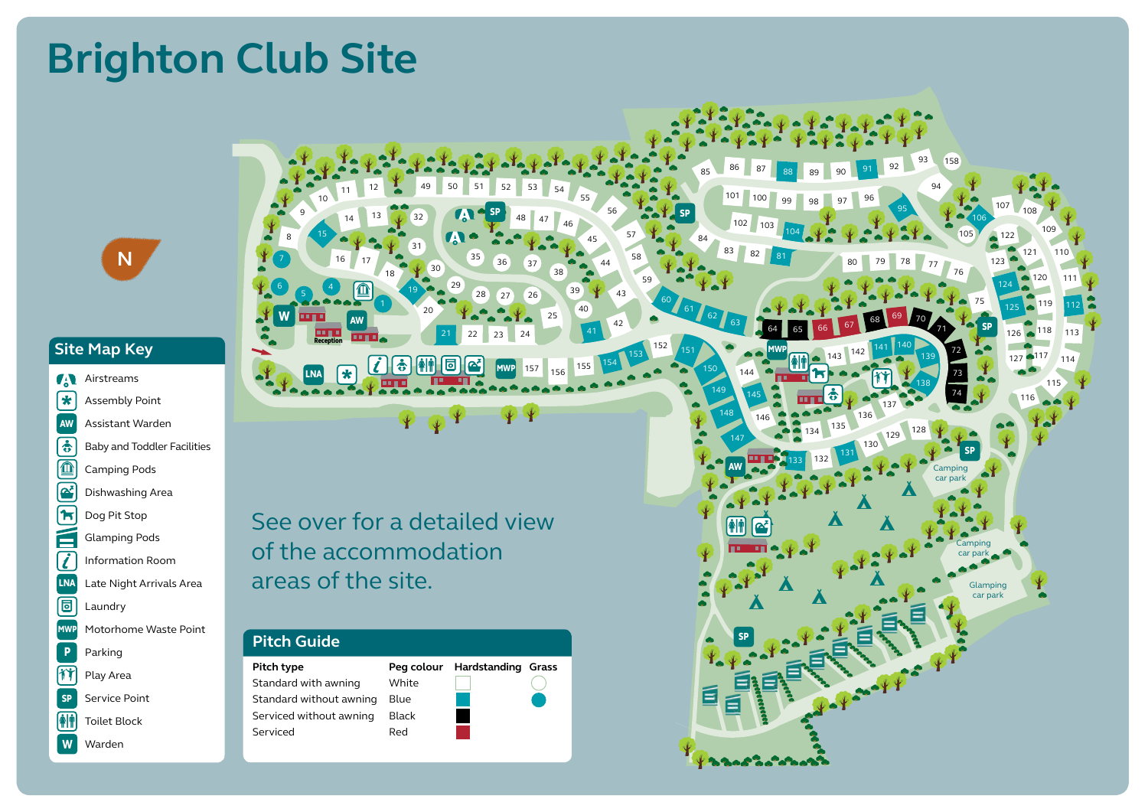#### Site Map Key LNA Late Night Arrivals Area Footpath en<br>Sito Mar Swimming

Motorhome Service Point

Motorhome Service Point

Motorhome Service Point

Motorhome Service Point

Motorhome Service Point

Dog Walk

- AW Assistant Warden SP Service Point .<br>Taoilities Wi-Fi internet access Assembly Point Restaurant Airstreams Outbuildings Reception Toilet Block Toilet Block MWP Motorhome Service Point aw Assistant Warden **Produce Point Point Point Point Point Point Point Point Point Point Point Point Point Point Point Point Point Point Point Point Point Point Point Point Point Point Point Point Point Point Point Point Point Point Point Poi**  $\boxed{\mathbf{e}}$ Assembly Point Camping Pods **T** REST **v d**  $\frac{1}{1}$ Information Poom LNA Late Night Arrivals Area DP Disabled Parking Camping Entertainment Point Block Toilet Block Toilet Block Toilet Block Toilet Block Toilet Block Toilet Block Toilet Block Toilet Block Toilet Block Toilet Block Toilet Block Toilet Block Toilet Block Toilet Block Toilet Block T P l MSP **o** W Camping Pods Glamping Pods Camping Pods  $\mathbf{E}$ **MW** Dishwashing Area<br>To Dog Pit Stop DP Disabled Parking **o** BIO Biodiversity Area **a**<br>Assembly  $\mathbf{P}$  Parking MWP Motorhome Waste Point  $\sum$ **1** Dog Pit Stop  $\overline{\mathbf{r}}$ **v SP** K T l **u** MSP REST T P **T** Playground Motorhome Service Point **Assembly Play Area** Footpath DP Disabled Parking Camping SP Service Point  $\boxed{\color{blue} \color{blue} \color{black} \color{blue} \color{black} }$  Toilet Block Information Room Dishwashing Area Play Area complex *a* LNA MSP T **P** l REST  $\frac{1}{\sqrt{2}}$ Playground Motorhome Service Point CEP Chemical Toilet Emptying Point LNA Late Night Arrivals Area Footpath Camping **LNA** Late Night Arrivals Area Play Area complex  $\equiv$  and area in the set of  $\equiv$ **o** l MSP **d** Dishwashing Area<br>
Dog Pit Stop<br>
Glamping Pods<br>
Information Room<br>
Late Night Arrivals Area<br>
Laundry<br>
Motorhome Waste Point<br>
Parking<br>
Play Area<br>
Service Point<br>
Toilet Block<br>
Warden<br>
Marden<br>
Serviced v<br>
Serviced v<br>
Serviced b Playground Information Room CEP Chemical Toilet LNA Late Night Arrivals Area Footpath DP Disabled Parking Camping W Parking Glamping Pods Dishwashing Area Play Area Entertainment complex **aw T S** REST  $\left[\begin{array}{cc} \bullet^{\sharp} \end{array}\right]$  Dishwashing Ar DP Disabled Parking  $\frac{1}{\sqrt{2}}$ Outbuildings Reception Toilet Block Toilet Block MWP Motorhome Service Point BIO Biodiversity Area CEP Chemical Toilet Emptying Point LNA Late Night Arrivals Area Footpath Camping Camping Pods Entertainment complex **v T** T  $\blacksquare$ **v u** e<br>Wwi REST Playground BIO Biodiversity Area CEP Chemical Toilet  $\blacksquare$ Footpath Camping **AM** Toilet Block Glampi iniorri Dishwashing Area Play Area Entertainment complex **u e** K  $=$ TTOILET CARRY DOCUMENT DOCUMENT DOCUMENT DU<br>TTOILET DE PARTIES DE PRINCIPIE<br>TTOILET DE PRINCIPIE Playground BIOBiodiversity Area Emptying Point Footpath DP Disabled Parking Camping Storage Compound Play Area complex
- **P** W Warden **T** K W Outbuildings Reception Toilet Block Toilet Block Parking CEP Chemical Toilet

P

**T**

Camping Pods

Emptying Point

restaura datailed view of the accommodat a areas of the site. r a detailed v er for a detailed view when the state LCU VIC VV DP Disabled Parking See over for a detailed view  $\int$  of the accon Dishwashing Area Glamping Pods Emptying Point of the accommodation Entertainment

P

Parking

20

**o**

**u h** 

Wi-Fi internet access

**P**

 $\frac{1}{2}$   $\frac{1}{2}$   $\frac{1}{2}$   $\frac{1}{2}$   $\frac{1}{2}$   $\frac{1}{2}$   $\frac{1}{2}$   $\frac{1}{2}$   $\frac{1}{2}$   $\frac{1}{2}$   $\frac{1}{2}$   $\frac{1}{2}$   $\frac{1}{2}$   $\frac{1}{2}$   $\frac{1}{2}$   $\frac{1}{2}$   $\frac{1}{2}$   $\frac{1}{2}$   $\frac{1}{2}$   $\frac{1}{2}$   $\frac{1}{2}$   $\frac{1}{2}$ 

ا<br>م د

Storage Compound

30

29

 $\boxed{2}$ 

DP Disabled Parking

 $C_1$ 

LNA Late Night Arrivals Area

Dog Area

 $\overline{\phantom{a}}$ DO SP

BIO Biodiversity Area 49 50 51 J Emptying Point

**Fo**ot

K

**u d**

21 22

 $\mathbf{S}$   $\mathbf{S}$ Pool

1 22 2

**e**

allal I

<u>toil</u> Dog Walk

REST T

Dog Area

MWP Motorhome Service Point

**S**

AW Assistant Warden

**P**

Outbuildings Reception Toilet Block Toilet Block

Outbuildings Reception Toilet Block Toilet Block

W

Motorhome Service Point

24

 $3 \mid 24 \mid$ Camping Pods

MMD **Area** 

 $\mathcal{L}$  outbuildings Reception Toilet Block Toilet Block Toilet Block Toilet Block Toilet Block Toilet Block Toilet Block Toilet Block Toilet Block Toilet Block Toilet Block Toilet Block Toilet Block Toilet Block Toilet

MWP Motorhome Service Point

Glamping Pods Camping Pods

 $\overline{\phantom{a}}$  Bodiversity  $\overline{\phantom{a}}$ CEP Chemical Toilet Emptying Point

DP Disabled Parking  $\vert$  24

LNA Late Night Arrivals Area

 $\overline{36}$   $\overline{37}$   $\overline{6}$ Camping

MWP Motorhome Service Point

23

**o**

Restaurant Laundry

रो<br>प्र

**o**

28 27 26

**o**

**S**

Motorhome Service Point

**v**

 $\mathbb{R}^3$ 

**P**

Play Area Entertainment complex

<sup>35</sup> <sup>36</sup> <sup>37</sup>

 $\frac{35}{100}$ 

P

Storage Compound

**e**

DP Disabled Parking **Campion** 

Footpath

50 51 52 53 54

BIO Biodiversity Area CEP Chemical Toilet Emptying Point

complex

**v**

**T**

Swimming Pool

**v**

BIO Biodiversity Area CEP Chemical Toilet Emptying Point

 $SP \left[ \begin{array}{ccc} 0 & 0 \\ 0 & 0 \end{array} \right]$  $\mathcal{P}$  and  $\mathcal{P}$ 

Entertainment complex

BIO Biodiversity Area CEP Chemical Toilet  $E_3$ 

Wielki accessive accessive accessive accessive accessive accessive accessive accessive accessive accessive accessive accessive accessive accessive accessive accessive accessive accessive accessive accessive accessive acces

Footpath

 $35$  and  $\overline{a}$  are  $\overline{b}$ 

25

 $\blacksquare$ Entertainment

 $\sim$  25 Camping Pods

**S**

 $156$ 

**e**

**P**

Outbuildings Reception Toilet Block Toilet Block

38 39 40

 $\overline{\phantom{a}}$   $\overline{\phantom{a}}$   $\overline{\phantom{a}}$   $\overline{\phantom{a}}$   $\overline{\phantom{a}}$   $\overline{\phantom{a}}$   $\overline{\phantom{a}}$   $\overline{\phantom{a}}$   $\overline{\phantom{a}}$   $\overline{\phantom{a}}$   $\overline{\phantom{a}}$   $\overline{\phantom{a}}$   $\overline{\phantom{a}}$   $\overline{\phantom{a}}$   $\overline{\phantom{a}}$   $\overline{\phantom{a}}$   $\overline{\phantom{a}}$   $\overline{\phantom{a}}$   $\overline{\$ 

 $\overline{P}$ 

45 44

155  $154$ 

DP Disabled Parking

Play Area

MWP Motorhome Service Point

55

**e**

**S**

**v**

Playground the control

Dishwashing Area

**P**

l

Camping

Glamping Pods Camping Pods

Information Room

 $\mathcal{L}_{\mathcal{R}}$ 

 $\bullet$ <sup> $\bullet$ </sup>

AW Assistant Warden

Warden

Wi-Fi internet access

Emptying Point

Storage Compound

Motorhome Service Point

MSP

<sup>48</sup> <sup>47</sup> <sup>46</sup>

Footpath

 $\begin{array}{ccc} \text{1} & 53 & \text{5} \end{array}$ 

LNA Late Night Arrivals Area

19

Glamping Pods  $\sim$  19

 $\frac{1}{2}$  18

Toilet Dog Walk

Warden

 $\mathsf{w}$  and  $\mathsf{w}$  and  $\mathsf{w}$  and  $\mathsf{w}$ 

Dog Area

 $\overline{\phantom{a}}$ 

ست ت ب

Assembly Point

Service Point

 $\rightarrow$ 

Wi-Fi internet access

31

 $\mathbb{R}$  Motor Service Point  $\mathbb{R}$ 

 $S_{\text{max}}(x)$ Pool

32

 $\begin{array}{|c|c|c|c|c|c|c|c|c|} \hline \text{12} & 1 & 49 & 50 \\ \hline \end{array}$ 

 $\sim$  ( $\sim$   $\sim$   $\sim$   $\sim$   $\sim$   $\sim$   $\sim$ 

 $\frac{13}{200}$  Motor S2

Restaurant Laundry

Footpath

 $\mathbf{U}$  is a set  $\mathbf{U}$ 

Dog Area  $2 \frac{1}{2}$   $49$ 

Play Area

Swimming Pool **u**

Toilet

**S**

**d** Swimming Pool **u**

**v** Toilet

Swimming Pool **u**

Information Room

Storage Compound

 $\tilde{\phantom{a}}$ 

 $\Box$   $\Box$   $\Box$ Camping

 $\sim$  Storage Compound  $\sim$ 

49

Storage Compound

Motorhome Service Point

# **Pitch Guide**

MWP Motorhome Service Point

Camping Pods

Glamping Pods

Play Area

**P**

**v**

 $\begin{array}{|c|c|c|c|}\n\hline\n6 & 5 & 4 \\
\hline\n\end{array}$ 

10 9

15

 $\sim$  15  $>$ 

**S**

**e**

 $\bullet$   $\bullet$   $\bullet$   $\bullet$   $\bullet$   $\bullet$ 

Laundry

**v**

Warden

Reception

 $\frac{1}{\sqrt{2}}$  interpreted access in the set of  $\frac{1}{\sqrt{2}}$ Assembly Point **T** LNA Late Night Arrivals Area **d**

**u**<br>tion

K

14

Play Area Entertainment complex

Motorhome Service Point

 $|14$ REST  $^{\circ}$ 

Playground

 $\overline{11}$ 

 $16$  17

BIO BIO  $\blacksquare$   $\blacksquare$   $\blacksquare$   $\blacksquare$   $\blacksquare$ Emptying Point

W

**T**

**P**

2

**T**

**o**

 $11 \mid 12$ 

 $\mathbf{\hat{r}}$ 

MSP REST T

 $\sqrt{4}$ 

Dishwashing Area

MSP REST L

13

18

 $R$ Laundry

AW **Assistant Warden** 

1

a Maria Warden

K

Warden

Swimming

**u d**

Restaurant  $\mathbb{Z}$ 

<u>outbuildings Reception Toilet Block Toilet Block Toilet Block Toilet Block Toilet Block Toilet Block Toilet Block T</u>

Toilet Dog Walk

pĮ

SP Service Point

SP Service Point

7 8

l

**d**

MSP

 $\overline{R}$ T

Wi-Fi internet access

W

Assembly Point

AW Assistant Warden

Dishwashing Area

Warden Barnett

SP Service Point Parking

Dishwashing Area

Motorhome Service Point

Footpath

Play Area

Glamping Pods

LNA Late Night Arrivals Area

Entertainment

**Brighton Club Site** 

**d**

Dog Area

MSP

Play Area

BIO Biodiversity Area CEP Chemical Toilet

Information Room

Storage Compound

DP Disabled Parking Camping

BIO Biodiversity Area CEP Chemical Toilet Emptying Point

SP Service Point **Pitch type Peg colour Hardstanding Grass** MWP Motorhome Service Point Standard with awning and White **Parking Standard without awning Blue** Serviced without awning Black en Red Reception Serviced Reception Toilet Block Toilet Block Toilet Block Toilet Block Toilet Block Toilet Block Toilet Block Toilet Block Toilet Block Toilet Block Toilet Block Toilet Block Toilet Block Toilet Block Toil Camping Pods Pitch type

Outbuildings Reception Toilet Block Toilet Block Parking e in the control to the second block Toilet Block Toilet Block Toilet Block Toilet Block Toilet Block Toilet B

**P**



Dog Area

Dog Walk

Storage Compounds and the Storage Compounds and the Compounds of the Compounds of the Compounds and the Compounds and  $\sim$ 

K

 $\blacksquare$  Outbuilding Reception Toilet Block Toilet Block Toilet Block Toilet Block Toilet Block Toilet Block Toilet Block Toilet Block Toilet Block Toilet Block Toilet Block Toilet Block Toilet Block Toilet Block Toilet Blo

Motorhome Service Point

Toilet  $\overline{\phantom{a}}$ 

144

 $\frac{144}{2}$ 

MSP

149 150

Parking

85 86 87 88 89

#### <sup>128</sup> <sup>129</sup> 130 137 136 135 133 132 146 145 147 148 **o o o o** o<sup>t</sup>ician access Camping car park  $SP \rightarrow \bullet P$ Parking P  $M = 116$ Assembly Point **T** Swimming Pool Dishwashing Area **u** - -<br>11 **e** l MSP REST  $\mathbf{\hat{r}}$ Information Room  $\blacksquare$  Motor  $\blacksquare$ BIO Biodiversity Area CHEMICAL TEST Emptying Point LNA Late Night Arrivals Area  $\blacksquare$   $\blacksquare$ Footpath DP Disabled Parking Restaurant Laundry  $\sim$  Storage Compound Playground Dishwashing Area **e**  $\frac{1}{33}$ MSP Dog Area Information Room Motorhome Service Point BIO Biodiversity Area Camping V  $\sum_{n=1}^{\infty}$ Footpath Restaurant  $\sim$   $\sim$   $\sim$ Entertainment **v**  $\mathsf{R}^{\mathsf{B}}$ 14  $\sim$  128  $\sqrt{2}$ AW **Assistant Warden**  $\overline{\mathbf{r}}$ DP Disabled Parking Camping  $\overline{\mathcal{C}}$  $U(x)$  $146$ Laundry Camping Pods **o** l.<br>Li MSP REST Dog Area Information Room  $M_{\rm{max}}$  Service Point  $\sim$  $\blacksquare$  129  $\mathbf{C} = \mathbf{C} \mathbf{C}$  $\blacksquare$   $\blacksquare$   $\blacksquare$   $\blacksquare$   $\blacksquare$   $\blacksquare$   $\blacksquare$   $\blacksquare$   $\blacksquare$   $\blacksquare$   $\blacksquare$   $\blacksquare$   $\blacksquare$   $\blacksquare$   $\blacksquare$   $\blacksquare$   $\blacksquare$   $\blacksquare$   $\blacksquare$   $\blacksquare$   $\blacksquare$   $\blacksquare$   $\blacksquare$   $\blacksquare$   $\blacksquare$   $\blacksquare$   $\blacksquare$   $\blacksquare$   $\blacksquare$   $\blacksquare$   $\blacksquare$   $\blacks$ LNA Late Night Arrivals Area  $\blacksquare$ Restaurant Laundry Storage Compound Entertainment complex **v**  $\overline{\hat{c}}$ l MSP REST **P** Information Room  $M_{\odot}$  Motor Point  $\sim$ BIO Biodiversity Area CEP Chemical Toilet Emptying Point  $\sim$  $\overline{\phantom{a}}$ Footpath DP Disabled Parking Restaurant Laundry  $35<sup>o</sup>$

Dog Area

**v**

 $\overline{\mathfrak{f}}$ 

90

Camping

Glamping Pods Camping Pods

CEP Chemical Toilet Emptying Point

BIO Biodiversity Area CEP Chemical Toilet Emptying Point

89

**o**



Camping Pods

**P**

Camping Pods

**P**

**S** 

 $\mathbf{\hat{r}}$ 

**v**

W

Play Area

 $\Box$ 

P

Play Area Entertainment complex of the second second

Playground

138

**S**

 $\mathbf{E}$ complex

Play Area

 $\mathbb{Z}$ Emptying Point

94

158

91 92 93

75

106

05<sub>)</sub>

MSP REST  $\mathbf{r}$ 

109

110

115

114 113

Outbuildings Reception Toilet Block Toilet Block

MWP Motorhome Service Point

Glamping Pods Camping Pods

Playground

**S**

Dishwashing Area

LNA Late Night Arrivals Area

DP Disabled Parking

BIO Biodiversity Area CEP Chemical Toilet

BIO Biodiversity Area CEP Chemical Toilet Emptying Point

Play Area Entertainment complex

Footpath

DP Disabled Parking Camping

 $\sqrt{114}$ 

LNA Late Night Arrivals Area

MWP Motorhome Service Point

112 111

116

108

**Information** Room

AW Assistant Warden

Restaurant Laundry

Storage Compound

Warden und

Motorhome Service Point

 $\blacksquare$  Point Point Point Point Point Point Point Point Point Point Point Point Point Point Point Point Point Point Point Point Point Point Point Point Point Point Point Point Point Point Point Point Point Point Point Poin

 $\blacksquare$  internet and internet accessible accessible accessible accessible accessible accessible accessible accessible accessible accessible accessible accessible accessible accessible accessible accessible accessible acces

122

W

**T**

 $75$ 

**d**

AW Assistant Warden

Dishwashing Area

 $SP \sim 11$ Parking

Restaurant Laundry



Motorhome Service Point

MSP REST **o**

**S**